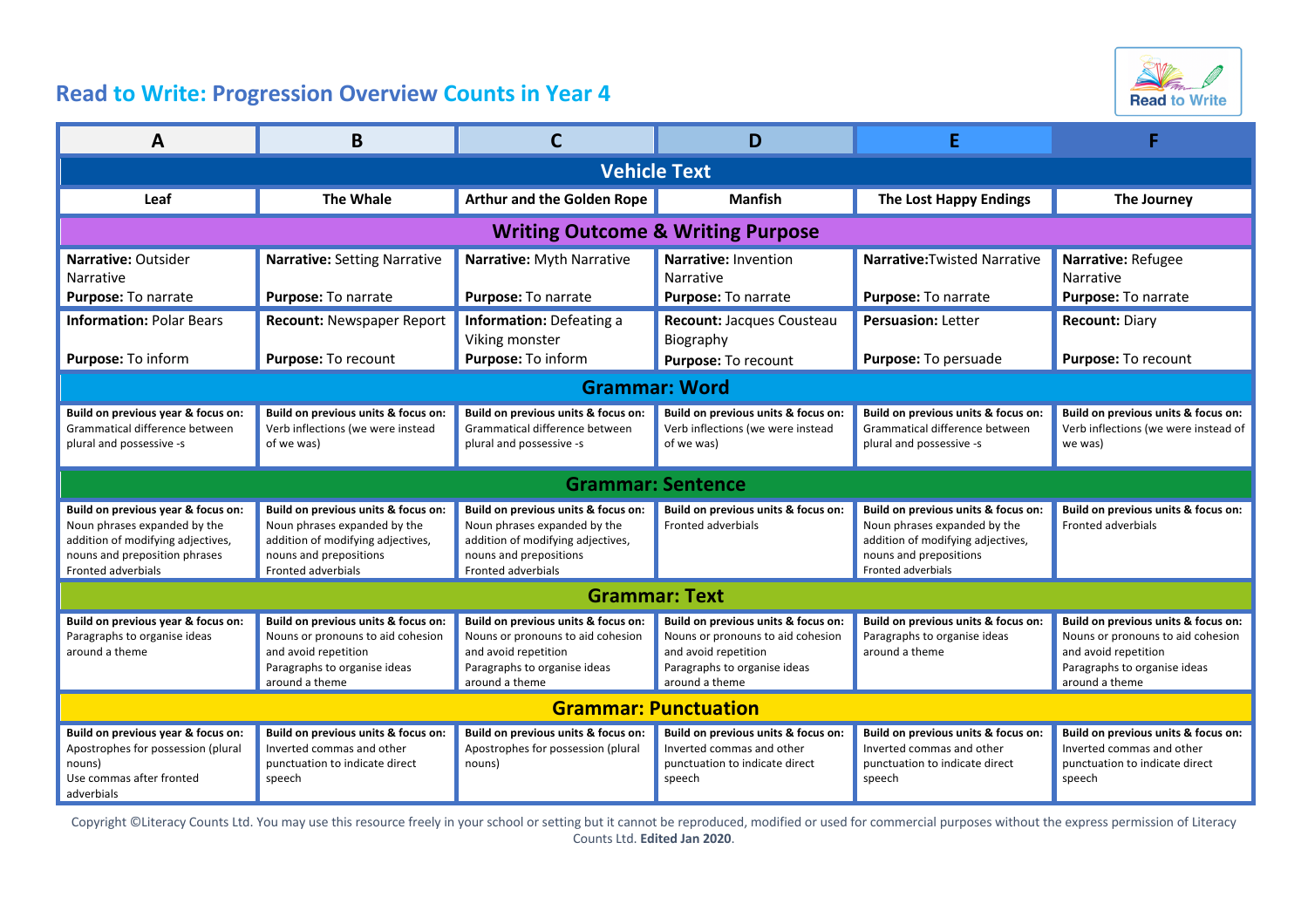## **Read to Write: Progression Overview Counts in Year 4**



| A                                                                                                                                                              | B                                                                                                                                                        |                                                                                                                                                          | D                                                                                                                                                  |                                                                                                                                                          |                                                                                                                                                    |  |  |  |
|----------------------------------------------------------------------------------------------------------------------------------------------------------------|----------------------------------------------------------------------------------------------------------------------------------------------------------|----------------------------------------------------------------------------------------------------------------------------------------------------------|----------------------------------------------------------------------------------------------------------------------------------------------------|----------------------------------------------------------------------------------------------------------------------------------------------------------|----------------------------------------------------------------------------------------------------------------------------------------------------|--|--|--|
| <b>Vehicle Text</b>                                                                                                                                            |                                                                                                                                                          |                                                                                                                                                          |                                                                                                                                                    |                                                                                                                                                          |                                                                                                                                                    |  |  |  |
| Leaf                                                                                                                                                           | <b>The Whale</b>                                                                                                                                         | <b>Arthur and the Golden Rope</b>                                                                                                                        | <b>Manfish</b>                                                                                                                                     | <b>The Lost Happy Endings</b>                                                                                                                            | The Journey                                                                                                                                        |  |  |  |
| <b>Writing Outcome &amp; Writing Purpose</b>                                                                                                                   |                                                                                                                                                          |                                                                                                                                                          |                                                                                                                                                    |                                                                                                                                                          |                                                                                                                                                    |  |  |  |
| Narrative: Outsider<br>Narrative<br>Purpose: To narrate                                                                                                        | <b>Narrative: Setting Narrative</b><br>Purpose: To narrate                                                                                               | Narrative: Myth Narrative<br>Purpose: To narrate                                                                                                         | Narrative: Invention<br>Narrative<br>Purpose: To narrate                                                                                           | Narrative: Twisted Narrative<br>Purpose: To narrate                                                                                                      | Narrative: Refugee<br>Narrative<br>Purpose: To narrate                                                                                             |  |  |  |
| <b>Information: Polar Bears</b><br>Purpose: To inform                                                                                                          | <b>Recount: Newspaper Report</b><br>Purpose: To recount                                                                                                  | Information: Defeating a<br>Viking monster<br>Purpose: To inform                                                                                         | Recount: Jacques Cousteau<br>Biography<br>Purpose: To recount                                                                                      | <b>Persuasion: Letter</b><br>Purpose: To persuade                                                                                                        | <b>Recount: Diary</b><br>Purpose: To recount                                                                                                       |  |  |  |
| <b>Grammar: Word</b>                                                                                                                                           |                                                                                                                                                          |                                                                                                                                                          |                                                                                                                                                    |                                                                                                                                                          |                                                                                                                                                    |  |  |  |
| Build on previous year & focus on:<br>Grammatical difference between<br>plural and possessive -s                                                               | Build on previous units & focus on:<br>Verb inflections (we were instead<br>of we was)                                                                   | Build on previous units & focus on:<br>Grammatical difference between<br>plural and possessive -s                                                        | Build on previous units & focus on:<br>Verb inflections (we were instead<br>of we was)                                                             | Build on previous units & focus on:<br>Grammatical difference between<br>plural and possessive -s                                                        | Build on previous units & focus on:<br>Verb inflections (we were instead of<br>we was)                                                             |  |  |  |
| <b>Grammar: Sentence</b>                                                                                                                                       |                                                                                                                                                          |                                                                                                                                                          |                                                                                                                                                    |                                                                                                                                                          |                                                                                                                                                    |  |  |  |
| Build on previous year & focus on:<br>Noun phrases expanded by the<br>addition of modifying adjectives,<br>nouns and preposition phrases<br>Fronted adverbials | Build on previous units & focus on:<br>Noun phrases expanded by the<br>addition of modifying adjectives,<br>nouns and prepositions<br>Fronted adverbials | Build on previous units & focus on:<br>Noun phrases expanded by the<br>addition of modifying adjectives,<br>nouns and prepositions<br>Fronted adverbials | Build on previous units & focus on:<br><b>Fronted adverbials</b>                                                                                   | Build on previous units & focus on:<br>Noun phrases expanded by the<br>addition of modifying adjectives,<br>nouns and prepositions<br>Fronted adverbials | Build on previous units & focus on:<br>Fronted adverbials                                                                                          |  |  |  |
| <b>Grammar: Text</b>                                                                                                                                           |                                                                                                                                                          |                                                                                                                                                          |                                                                                                                                                    |                                                                                                                                                          |                                                                                                                                                    |  |  |  |
| Build on previous year & focus on:<br>Paragraphs to organise ideas<br>around a theme                                                                           | Build on previous units & focus on:<br>Nouns or pronouns to aid cohesion<br>and avoid repetition<br>Paragraphs to organise ideas<br>around a theme       | Build on previous units & focus on:<br>Nouns or pronouns to aid cohesion<br>and avoid repetition<br>Paragraphs to organise ideas<br>around a theme       | Build on previous units & focus on:<br>Nouns or pronouns to aid cohesion<br>and avoid repetition<br>Paragraphs to organise ideas<br>around a theme | Build on previous units & focus on:<br>Paragraphs to organise ideas<br>around a theme                                                                    | Build on previous units & focus on:<br>Nouns or pronouns to aid cohesion<br>and avoid repetition<br>Paragraphs to organise ideas<br>around a theme |  |  |  |
| <b>Grammar: Punctuation</b>                                                                                                                                    |                                                                                                                                                          |                                                                                                                                                          |                                                                                                                                                    |                                                                                                                                                          |                                                                                                                                                    |  |  |  |
| Build on previous year & focus on:<br>Apostrophes for possession (plural<br>nouns)<br>Use commas after fronted<br>adverbials                                   | Build on previous units & focus on:<br>Inverted commas and other<br>punctuation to indicate direct<br>speech                                             | Build on previous units & focus on:<br>Apostrophes for possession (plural<br>nouns)                                                                      | Build on previous units & focus on:<br>Inverted commas and other<br>punctuation to indicate direct<br>speech                                       | Build on previous units & focus on:<br>Inverted commas and other<br>punctuation to indicate direct<br>speech                                             | Build on previous units & focus on:<br>Inverted commas and other<br>punctuation to indicate direct<br>speech                                       |  |  |  |

Copyright ©Literacy Counts Ltd. You may use this resource freely in your school or setting but it cannot be reproduced, modified or used for commercial purposes without the express permission of Literacy Counts Ltd. **Edited Jan 2020**.